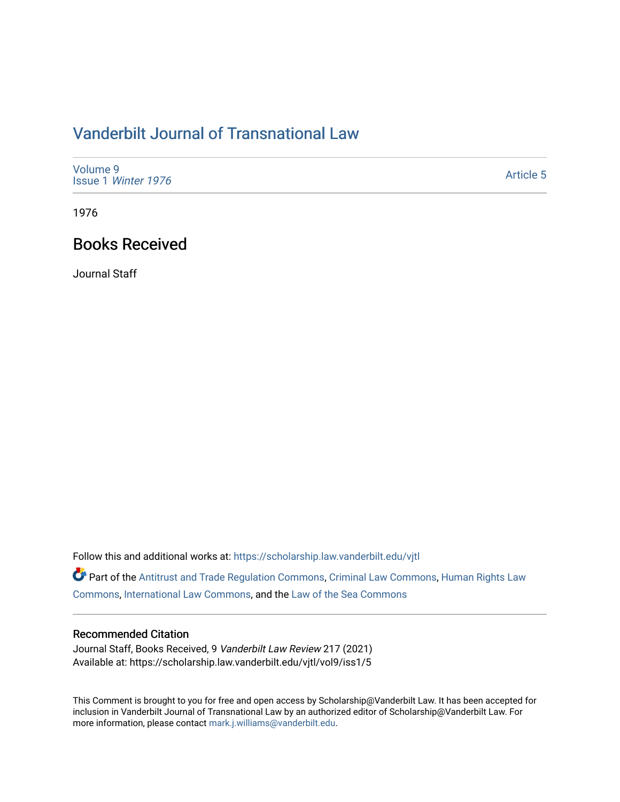## [Vanderbilt Journal of Transnational Law](https://scholarship.law.vanderbilt.edu/vjtl)

| Volume 9<br>Issue 1 Winter 1976 | <b>Article 5</b> |
|---------------------------------|------------------|
|---------------------------------|------------------|

1976

## Books Received

Journal Staff

Follow this and additional works at: [https://scholarship.law.vanderbilt.edu/vjtl](https://scholarship.law.vanderbilt.edu/vjtl?utm_source=scholarship.law.vanderbilt.edu%2Fvjtl%2Fvol9%2Fiss1%2F5&utm_medium=PDF&utm_campaign=PDFCoverPages) 

Part of the [Antitrust and Trade Regulation Commons,](https://network.bepress.com/hgg/discipline/911?utm_source=scholarship.law.vanderbilt.edu%2Fvjtl%2Fvol9%2Fiss1%2F5&utm_medium=PDF&utm_campaign=PDFCoverPages) [Criminal Law Commons](https://network.bepress.com/hgg/discipline/912?utm_source=scholarship.law.vanderbilt.edu%2Fvjtl%2Fvol9%2Fiss1%2F5&utm_medium=PDF&utm_campaign=PDFCoverPages), [Human Rights Law](https://network.bepress.com/hgg/discipline/847?utm_source=scholarship.law.vanderbilt.edu%2Fvjtl%2Fvol9%2Fiss1%2F5&utm_medium=PDF&utm_campaign=PDFCoverPages)  [Commons](https://network.bepress.com/hgg/discipline/847?utm_source=scholarship.law.vanderbilt.edu%2Fvjtl%2Fvol9%2Fiss1%2F5&utm_medium=PDF&utm_campaign=PDFCoverPages), [International Law Commons,](https://network.bepress.com/hgg/discipline/609?utm_source=scholarship.law.vanderbilt.edu%2Fvjtl%2Fvol9%2Fiss1%2F5&utm_medium=PDF&utm_campaign=PDFCoverPages) and the [Law of the Sea Commons](https://network.bepress.com/hgg/discipline/855?utm_source=scholarship.law.vanderbilt.edu%2Fvjtl%2Fvol9%2Fiss1%2F5&utm_medium=PDF&utm_campaign=PDFCoverPages)

## Recommended Citation

Journal Staff, Books Received, 9 Vanderbilt Law Review 217 (2021) Available at: https://scholarship.law.vanderbilt.edu/vjtl/vol9/iss1/5

This Comment is brought to you for free and open access by Scholarship@Vanderbilt Law. It has been accepted for inclusion in Vanderbilt Journal of Transnational Law by an authorized editor of Scholarship@Vanderbilt Law. For more information, please contact [mark.j.williams@vanderbilt.edu](mailto:mark.j.williams@vanderbilt.edu).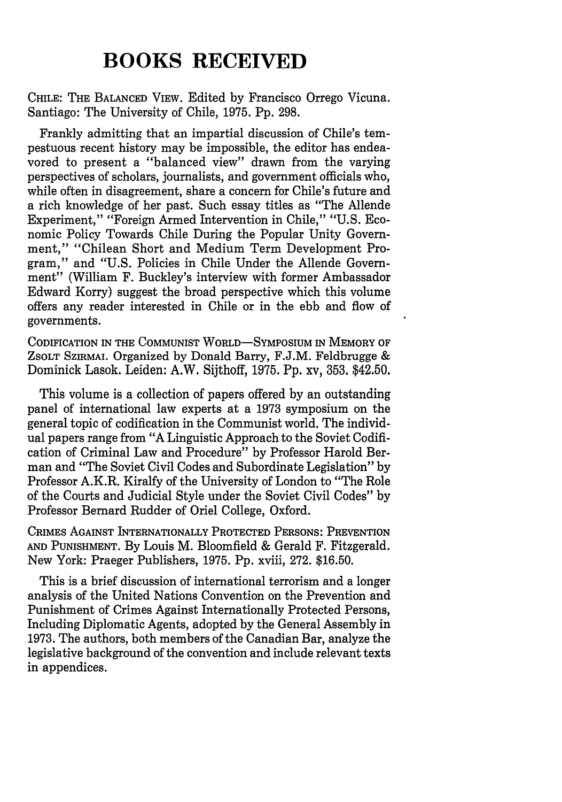## **BOOKS RECEIVED**

**CHILE:** THE **BALANCED VIEW.** Edited **by** Francisco Orrego Vicuna. **Santiago:** The University of Chile, **1975. Pp. 298.**

Frankly admitting that an impartial discussion of Chile's tempestuous recent history may be impossible, the editor has endeavored to present a "balanced view" drawn from the varying perspectives of scholars, journalists, and government officials who, while often in disagreement, share a concern for Chile's future and a rich knowledge of her past. Such essay titles as "The Allende Experiment," "Foreign Armed Intervention in Chile," **"U.S.** Economic Policy Towards Chile During the Popular Unity Government," "Chilean Short and Medium Term Development Program," and **"U.S.** Policies in Chile Under the Allende Government" (William F. Buckley's interview with former Ambassador Edward Korry) suggest the broad perspective which this volume offers any reader interested in Chile or in the ebb and flow of governments.

**CODIFICATION IN THE COMMUNIST WORLD-SYMPOSIUM IN MEMORY OF ZSOLT SZIRMAI. Organized by** Donald Barry, **F.J.M.** Feldbrugge & Dominick Lasok. Leiden: A.W. Sijthoff, **1975. Pp.** xv, **353.** \$42.50.

This volume is a collection of papers offered **by** an outstanding panel of international law experts at a **1973** symposium on the general topic of codification in the Communist world. The individual papers range from **"A** Linguistic Approach to the Soviet Codification of Criminal Law and Procedure" **by** Professor Harold Berman and "The Soviet Civil Codes and Subordinate Legislation" **by** Professor A.K.R. Kiralfy of the University of London to "The Role of the Courts and Judicial Style under the Soviet Civil Codes" **by** Professor Bernard Rudder of Oriel College, Oxford.

**CRIMES AGAINST INTERNATIONALLY PROTECrED PERSONS: PREVENTION AND PUNISHMENT. By** Louis M. Bloomfield & Gerald F. Fitzgerald. **New** York: Praeger Publishers, **1975. Pp.** xviii, **272. \$16.50.**

This is a brief discussion of international terrorism and a longer analysis of the United Nations Convention on the Prevention and Punishment of Crimes Against Internationally Protected Persons, Including Diplomatic Agents, adopted **by** the General Assembly in **1973.** The authors, both members of the Canadian Bar, analyze the legislative background of the convention and include relevant texts in appendices.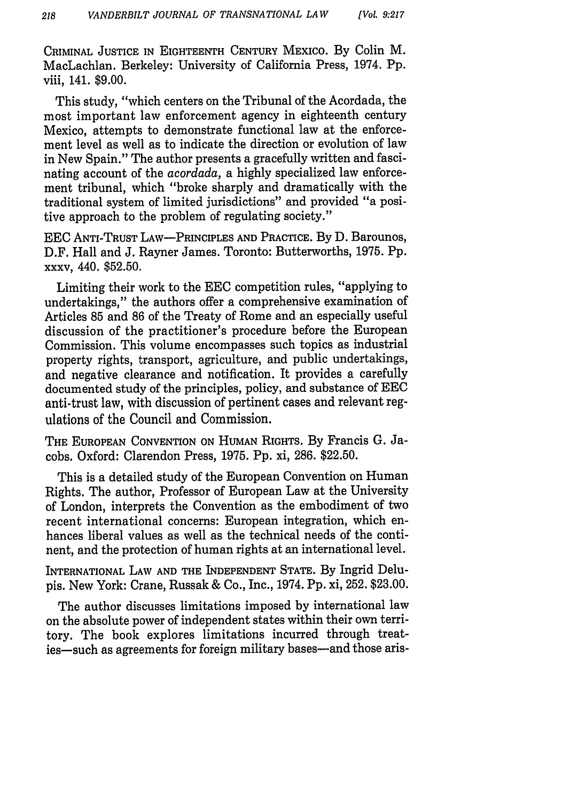CRIMINAL **JUSTICE IN** EIGHTEENTH **CENTURY** MEXICO. By Colin M. MacLachlan. Berkeley: University of California Press, 1974. Pp. viii, 141. \$9.00.

This study, "which centers on the Tribunal of the Acordada, the most important law enforcement agency in eighteenth century Mexico, attempts to demonstrate functional law at the enforcement level as well as to indicate the direction or evolution of law in New Spain." The author presents a gracefully written and fascinating account of the *acordada,* a highly specialized law enforcement tribunal, which "broke sharply and dramatically with the traditional system of limited jurisdictions" and provided "a positive approach to the problem of regulating society."

EEC **ANTI-TRUST** LAW-PRINCIPLES **AND** PRACTICE. By D. Barounos, D.F. Hall and J. Rayner James. Toronto: Butterworths, 1975. Pp. xxxv, 440. \$52.50.

Limiting their work to the EEC competition rules, "applying to undertakings," the authors offer a comprehensive examination of Articles 85 and 86 of the Treaty of Rome and an especially useful discussion of the practitioner's procedure before the European Commission. This volume encompasses such topics as industrial property rights, transport, agriculture, and public undertakings, and negative clearance and notification. It provides a carefully documented study of the principles, policy, and substance of EEC anti-trust law, with discussion of pertinent cases and relevant regulations of the Council and Commission.

THE **EUROPEAN CONVENTION ON** HUMAN RIGHTS. By Francis G. Jacobs. Oxford: Clarendon Press, 1975. Pp. xi, 286. \$22.50.

This is a detailed study of the European Convention on Human Rights. The author, Professor of European Law at the University of London, interprets the Convention as the embodiment of two recent international concerns: European integration, which enhances liberal values as well as the technical needs of the continent, and the protection of human rights at an international level.

INTERNATIONAL LAW **AND THE INDEPENDENT STATE.** By Ingrid Delupis. New York: Crane, Russak & Co., Inc., 1974. Pp. xi, 252. \$23.00.

The author discusses limitations imposed by international law on the absolute power of independent states within their own territory. The book explores limitations incurred through treaties-such as agreements for foreign military bases-and those aris-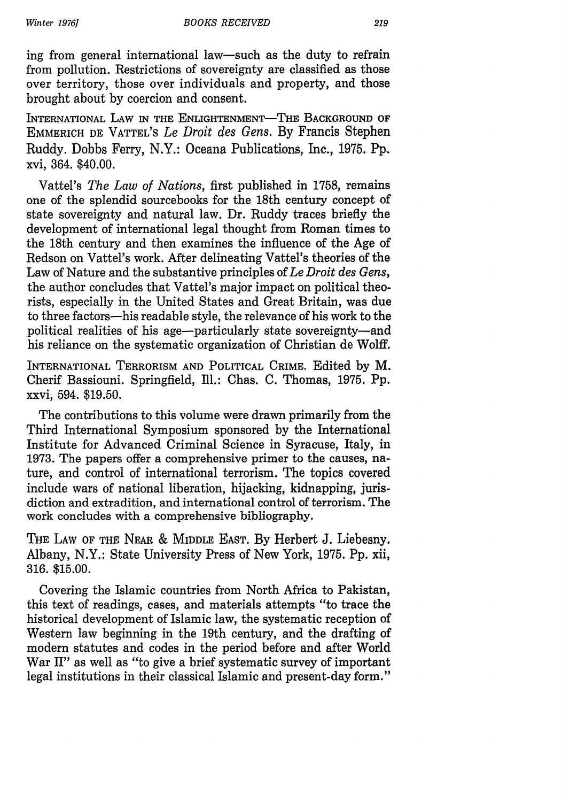ing from general international law-such as the duty to refrain from pollution. Restrictions of sovereignty are classified as those over territory, those over individuals and property, and those brought about by coercion and consent.

INTERNATIONAL LAW IN THE ENLIGHTENMENT-THE BACKGROUND OF **EMMERICH DE VATTEL'S** *Le Droit des Gens.* **By** Francis Stephen Ruddy. Dobbs Ferry, N.Y.: Oceana Publications, Inc., **1975.** Pp. xvi, 364. \$40.00.

Vattel's *The Law of Nations,* first published in 1758, remains one of the splendid sourcebooks for the 18th century concept of state sovereignty and natural law. Dr. Ruddy traces briefly the development of international legal thought from Roman times to the 18th century and then examines the influence of the Age of Redson on Vattel's work. After delineating Vattel's theories of the Law of Nature and the substantive principles of *Le Droit des Gens,* the author concludes that Vattel's major impact on political theorists, especially in the United States and Great Britain, was due to three factors-his readable style, the relevance of his work to the political realities of his age-particularly state sovereignty-and his reliance on the systematic organization of Christian de Wolff.

INTERNATIONAL TERRORISM **AND** POLITICAL CRIME. Edited by M. Cherif Bassiouni. Springfield, Ill.: Chas. C. Thomas, 1975. Pp. xxvi, 594. \$19.50.

The contributions to this volume were drawn primarily from the Third International Symposium sponsored by the International Institute for Advanced Criminal Science in Syracuse, Italy, in 1973. The papers offer a comprehensive primer to the causes, nature, and control of international terrorism. The topics covered include wars of national liberation, hijacking, kidnapping, jurisdiction and extradition, and international control of terrorism. The work concludes with a comprehensive bibliography.

THE LAW OF THE NEAR & MIDDLE EAST. By Herbert J. Liebesny. Albany, N.Y.: State University Press of New York, 1975. Pp. xii, 316. \$15.00.

Covering the Islamic countries from North Africa to Pakistan, this text of readings, cases, and materials attempts "to trace the historical development of Islamic law, the systematic reception of Western law beginning in the 19th century, and the drafting of modern statutes and codes in the period before and after World War II" as well as "to give a brief systematic survey of important legal institutions in their classical Islamic and present-day form."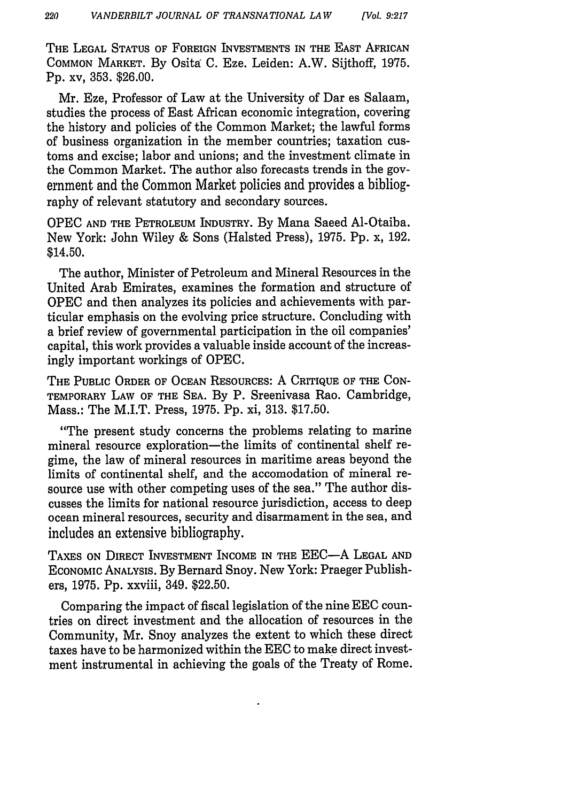THE **LEGAL STATUS** OF **FOREIGN** INVESTMENTS IN THE EAST AFRICAN **COMMON** MARKET. By Osita C. Eze. Leiden: A.W. Sijthoff, 1975. Pp. xv, 353. \$26.00.

Mr. Eze, Professor of Law at the University of Dar es Salaam, studies the process of East African economic integration, covering the history and policies of the Common Market; the lawful forms of business organization in the member countries; taxation customs and excise; labor and unions; and the investment climate in the Common Market. The author also forecasts trends in the government and the Common Market policies and provides a bibliography of relevant statutory and secondary sources.

OPEC **AND** THE PETROLEUM INDUSTRY. By Mana Saeed Al-Otaiba. New York: John Wiley & Sons (Halsted Press), 1975. Pp. x, 192. \$14.50.

The author, Minister of Petroleum and Mineral Resources in the United Arab Emirates, examines the formation and structure of OPEC and then analyzes its policies and achievements with particular emphasis on the evolving price structure. Concluding with a brief review of governmental participation in the oil companies' capital, this work provides a valuable inside account of the increasingly important workings of OPEC.

THE **PUBLIC** ORDER OF **OCEAN** RESOURCES: A CRITIQUE **OF** THE **CON-**TEMPORARY LAW **OF** THE **SEA.** By P. Sreenivasa Rao. Cambridge, Mass.: The M.I.T. Press, 1975. Pp. xi, 313. \$17.50.

"The present study concerns the problems relating to marine mineral resource exploration—the limits of continental shelf regime, the law of mineral resources in maritime areas beyond the limits of continental shelf, and the accomodation of mineral resource use with other competing uses of the sea." The author discusses the limits for national resource jurisdiction, access to deep ocean mineral resources, security and disarmament in the sea, and includes an extensive bibliography.

**TAXES ON** DIRECT INVESTMENT INCOME IN THE EEC-A **LEGAL AND** ECONOMIC ANALYSIS. By Bernard Snoy. New York: Praeger Publishers, 1975. Pp. xxviii, 349. \$22.50.

Comparing the impact of fiscal legislation of the nine EEC countries on direct investment and the allocation of resources in the Community, Mr. Snoy analyzes the extent to which these direct taxes have to be harmonized within the EEC to make direct investment instrumental in achieving the goals of the Treaty of Rome.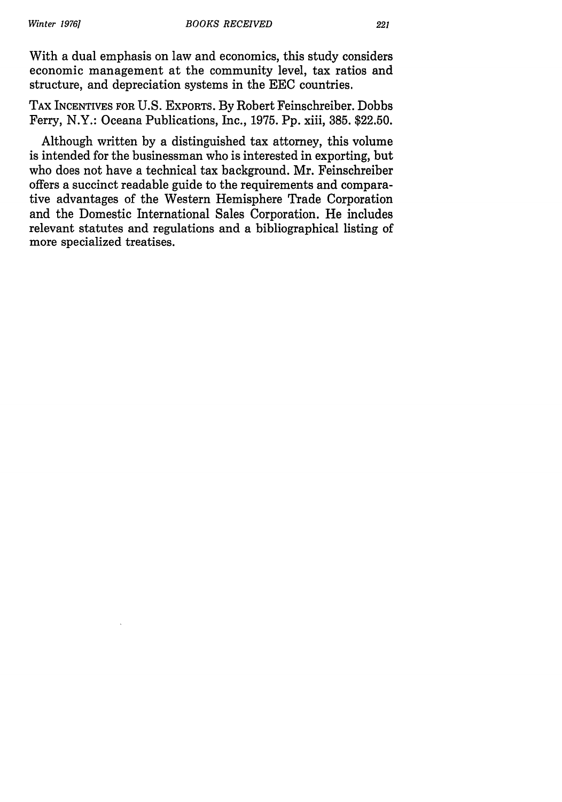With a dual emphasis on law and economics, this study considers economic management at the community level, tax ratios and structure, and depreciation systems in the EEC countries.

TAX INCENTIVES FOR U.S. EXPORTS. By Robert Feinschreiber. Dobbs Ferry, N.Y.: Oceana Publications, Inc., 1975. Pp. xiii, 385. \$22.50.

Although written by a distinguished tax attorney, this volume is intended for the businessman who is interested in exporting, but who does not have a technical tax background. Mr. Feinschreiber offers a succinct readable guide to the requirements and comparative advantages of the Western Hemisphere Trade Corporation and the Domestic International Sales Corporation. He includes relevant statutes and regulations and a bibliographical listing of more specialized treatises.